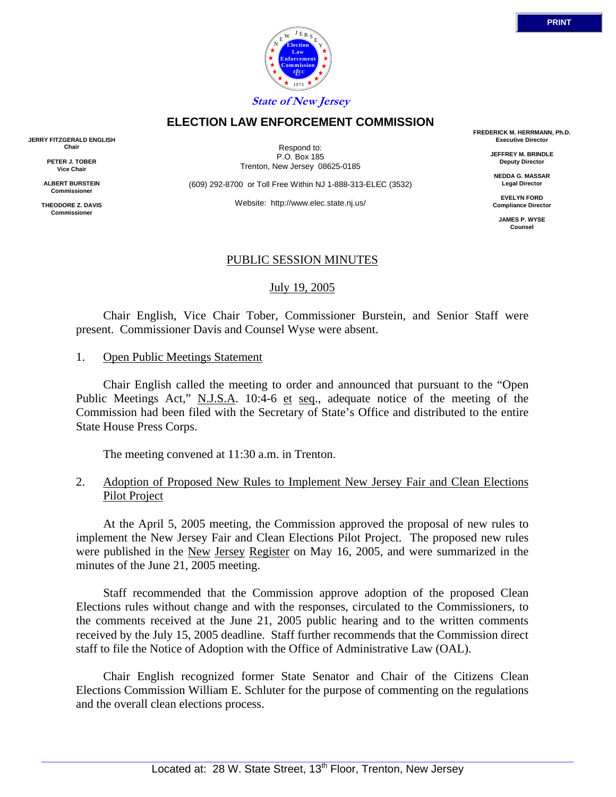

**ELECTION LAW ENFORCEMENT COMMISSION**

**JERRY FITZGERALD ENGLISH Chair**

> **PETER J. TOBER Vice Chair**

**ALBERT BURSTEIN Commissioner**

**THEODORE Z. DAVIS Commissione** 

Respond to: P.O. Box 185 Trenton, New Jersey 08625-0185

(609) 292-8700 or Toll Free Within NJ 1-888-313-ELEC (3532)

Website: http://www.elec.state.nj.us/

**FREDERICK M. HERRMANN, Ph.D. Executive Director**

> **JEFFREY M. BRINDLE Deputy Director**

**NEDDA G. MASSAR Legal Director**

**EVELYN FORD Compliance Director**

**JAMES P. WYSE Counsel**

# PUBLIC SESSION MINUTES

July 19, 2005

 Chair English, Vice Chair Tober, Commissioner Burstein, and Senior Staff were present. Commissioner Davis and Counsel Wyse were absent.

1. Open Public Meetings Statement

 Chair English called the meeting to order and announced that pursuant to the "Open Public Meetings Act," N.J.S.A. 10:4-6 et seq., adequate notice of the meeting of the Commission had been filed with the Secretary of State's Office and distributed to the entire State House Press Corps.

The meeting convened at 11:30 a.m. in Trenton.

# 2. Adoption of Proposed New Rules to Implement New Jersey Fair and Clean Elections Pilot Project

 At the April 5, 2005 meeting, the Commission approved the proposal of new rules to implement the New Jersey Fair and Clean Elections Pilot Project. The proposed new rules were published in the New Jersey Register on May 16, 2005, and were summarized in the minutes of the June 21, 2005 meeting.

 Staff recommended that the Commission approve adoption of the proposed Clean Elections rules without change and with the responses, circulated to the Commissioners, to the comments received at the June 21, 2005 public hearing and to the written comments received by the July 15, 2005 deadline. Staff further recommends that the Commission direct staff to file the Notice of Adoption with the Office of Administrative Law (OAL).

 Chair English recognized former State Senator and Chair of the Citizens Clean Elections Commission William E. Schluter for the purpose of commenting on the regulations and the overall clean elections process.

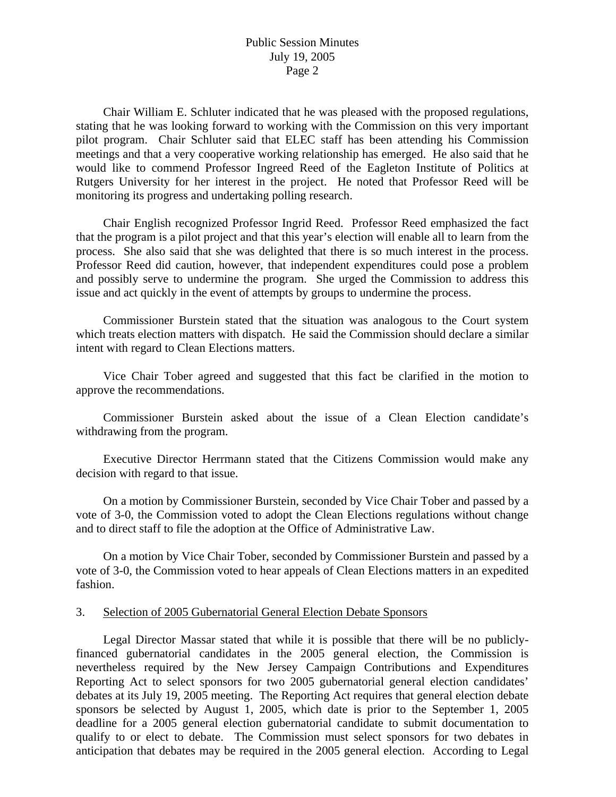Chair William E. Schluter indicated that he was pleased with the proposed regulations, stating that he was looking forward to working with the Commission on this very important pilot program. Chair Schluter said that ELEC staff has been attending his Commission meetings and that a very cooperative working relationship has emerged. He also said that he would like to commend Professor Ingreed Reed of the Eagleton Institute of Politics at Rutgers University for her interest in the project. He noted that Professor Reed will be monitoring its progress and undertaking polling research.

 Chair English recognized Professor Ingrid Reed. Professor Reed emphasized the fact that the program is a pilot project and that this year's election will enable all to learn from the process. She also said that she was delighted that there is so much interest in the process. Professor Reed did caution, however, that independent expenditures could pose a problem and possibly serve to undermine the program. She urged the Commission to address this issue and act quickly in the event of attempts by groups to undermine the process.

 Commissioner Burstein stated that the situation was analogous to the Court system which treats election matters with dispatch. He said the Commission should declare a similar intent with regard to Clean Elections matters.

 Vice Chair Tober agreed and suggested that this fact be clarified in the motion to approve the recommendations.

 Commissioner Burstein asked about the issue of a Clean Election candidate's withdrawing from the program.

 Executive Director Herrmann stated that the Citizens Commission would make any decision with regard to that issue.

 On a motion by Commissioner Burstein, seconded by Vice Chair Tober and passed by a vote of 3-0, the Commission voted to adopt the Clean Elections regulations without change and to direct staff to file the adoption at the Office of Administrative Law.

 On a motion by Vice Chair Tober, seconded by Commissioner Burstein and passed by a vote of 3-0, the Commission voted to hear appeals of Clean Elections matters in an expedited fashion.

#### 3. Selection of 2005 Gubernatorial General Election Debate Sponsors

 Legal Director Massar stated that while it is possible that there will be no publiclyfinanced gubernatorial candidates in the 2005 general election, the Commission is nevertheless required by the New Jersey Campaign Contributions and Expenditures Reporting Act to select sponsors for two 2005 gubernatorial general election candidates' debates at its July 19, 2005 meeting. The Reporting Act requires that general election debate sponsors be selected by August 1, 2005, which date is prior to the September 1, 2005 deadline for a 2005 general election gubernatorial candidate to submit documentation to qualify to or elect to debate. The Commission must select sponsors for two debates in anticipation that debates may be required in the 2005 general election. According to Legal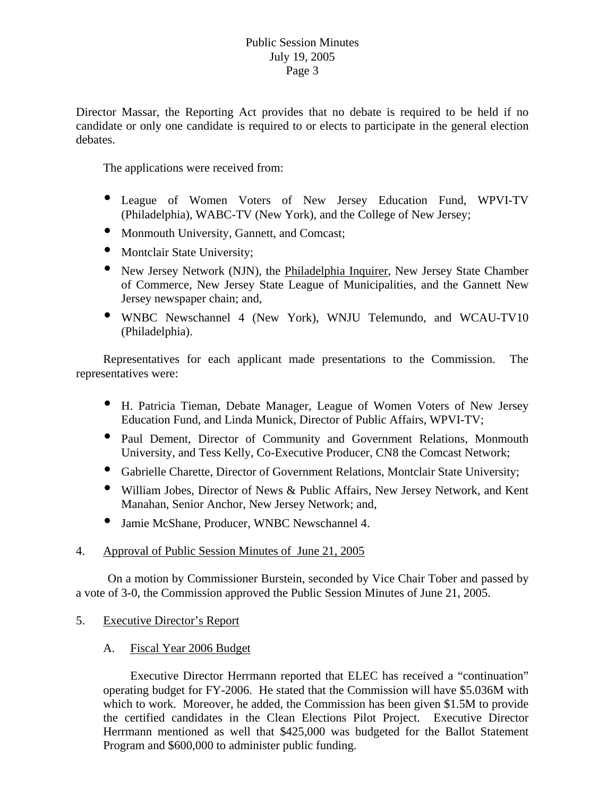Director Massar, the Reporting Act provides that no debate is required to be held if no candidate or only one candidate is required to or elects to participate in the general election debates.

The applications were received from:

- League of Women Voters of New Jersey Education Fund, WPVI-TV (Philadelphia), WABC-TV (New York), and the College of New Jersey;
- Monmouth University, Gannett, and Comcast;
- Montclair State University;
- New Jersey Network (NJN), the Philadelphia Inquirer, New Jersey State Chamber of Commerce, New Jersey State League of Municipalities, and the Gannett New Jersey newspaper chain; and,
- y WNBC Newschannel 4 (New York), WNJU Telemundo, and WCAU-TV10 (Philadelphia).

 Representatives for each applicant made presentations to the Commission. The representatives were:

- y H. Patricia Tieman, Debate Manager, League of Women Voters of New Jersey Education Fund, and Linda Munick, Director of Public Affairs, WPVI-TV;
- Paul Dement, Director of Community and Government Relations, Monmouth University, and Tess Kelly, Co-Executive Producer, CN8 the Comcast Network;
- Gabrielle Charette, Director of Government Relations, Montclair State University;
- William Jobes, Director of News & Public Affairs, New Jersey Network, and Kent Manahan, Senior Anchor, New Jersey Network; and,
- y Jamie McShane, Producer, WNBC Newschannel 4.

## 4. Approval of Public Session Minutes of June 21, 2005

 On a motion by Commissioner Burstein, seconded by Vice Chair Tober and passed by a vote of 3-0, the Commission approved the Public Session Minutes of June 21, 2005.

- 5. Executive Director's Report
	- A. Fiscal Year 2006 Budget

 Executive Director Herrmann reported that ELEC has received a "continuation" operating budget for FY-2006. He stated that the Commission will have \$5.036M with which to work. Moreover, he added, the Commission has been given \$1.5M to provide the certified candidates in the Clean Elections Pilot Project. Executive Director Herrmann mentioned as well that \$425,000 was budgeted for the Ballot Statement Program and \$600,000 to administer public funding.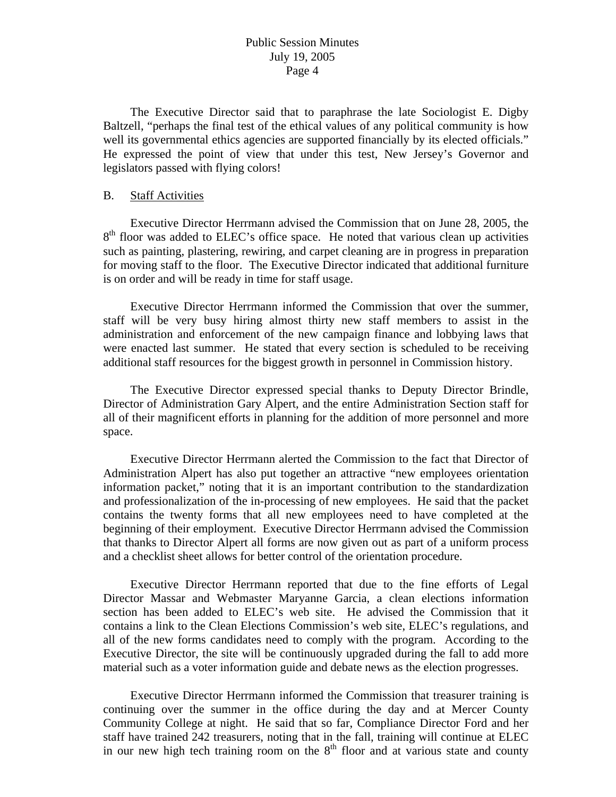The Executive Director said that to paraphrase the late Sociologist E. Digby Baltzell, "perhaps the final test of the ethical values of any political community is how well its governmental ethics agencies are supported financially by its elected officials." He expressed the point of view that under this test, New Jersey's Governor and legislators passed with flying colors!

#### B. Staff Activities

 Executive Director Herrmann advised the Commission that on June 28, 2005, the 8<sup>th</sup> floor was added to ELEC's office space. He noted that various clean up activities such as painting, plastering, rewiring, and carpet cleaning are in progress in preparation for moving staff to the floor. The Executive Director indicated that additional furniture is on order and will be ready in time for staff usage.

 Executive Director Herrmann informed the Commission that over the summer, staff will be very busy hiring almost thirty new staff members to assist in the administration and enforcement of the new campaign finance and lobbying laws that were enacted last summer. He stated that every section is scheduled to be receiving additional staff resources for the biggest growth in personnel in Commission history.

 The Executive Director expressed special thanks to Deputy Director Brindle, Director of Administration Gary Alpert, and the entire Administration Section staff for all of their magnificent efforts in planning for the addition of more personnel and more space.

 Executive Director Herrmann alerted the Commission to the fact that Director of Administration Alpert has also put together an attractive "new employees orientation information packet," noting that it is an important contribution to the standardization and professionalization of the in-processing of new employees. He said that the packet contains the twenty forms that all new employees need to have completed at the beginning of their employment. Executive Director Herrmann advised the Commission that thanks to Director Alpert all forms are now given out as part of a uniform process and a checklist sheet allows for better control of the orientation procedure.

 Executive Director Herrmann reported that due to the fine efforts of Legal Director Massar and Webmaster Maryanne Garcia, a clean elections information section has been added to ELEC's web site. He advised the Commission that it contains a link to the Clean Elections Commission's web site, ELEC's regulations, and all of the new forms candidates need to comply with the program. According to the Executive Director, the site will be continuously upgraded during the fall to add more material such as a voter information guide and debate news as the election progresses.

 Executive Director Herrmann informed the Commission that treasurer training is continuing over the summer in the office during the day and at Mercer County Community College at night. He said that so far, Compliance Director Ford and her staff have trained 242 treasurers, noting that in the fall, training will continue at ELEC in our new high tech training room on the  $8<sup>th</sup>$  floor and at various state and county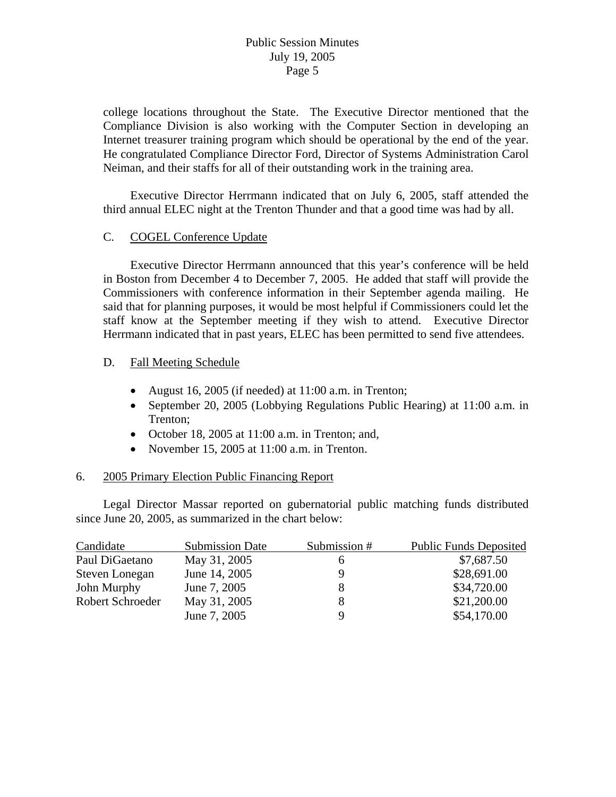college locations throughout the State. The Executive Director mentioned that the Compliance Division is also working with the Computer Section in developing an Internet treasurer training program which should be operational by the end of the year. He congratulated Compliance Director Ford, Director of Systems Administration Carol Neiman, and their staffs for all of their outstanding work in the training area.

 Executive Director Herrmann indicated that on July 6, 2005, staff attended the third annual ELEC night at the Trenton Thunder and that a good time was had by all.

# C. COGEL Conference Update

 Executive Director Herrmann announced that this year's conference will be held in Boston from December 4 to December 7, 2005. He added that staff will provide the Commissioners with conference information in their September agenda mailing. He said that for planning purposes, it would be most helpful if Commissioners could let the staff know at the September meeting if they wish to attend. Executive Director Herrmann indicated that in past years, ELEC has been permitted to send five attendees.

#### D. Fall Meeting Schedule

- August 16, 2005 (if needed) at 11:00 a.m. in Trenton;
- September 20, 2005 (Lobbying Regulations Public Hearing) at 11:00 a.m. in Trenton;
- October 18, 2005 at 11:00 a.m. in Trenton; and,
- November 15, 2005 at 11:00 a.m. in Trenton.

#### 6. 2005 Primary Election Public Financing Report

 Legal Director Massar reported on gubernatorial public matching funds distributed since June 20, 2005, as summarized in the chart below:

| Candidate        | <b>Submission Date</b> | Submission # | <b>Public Funds Deposited</b> |
|------------------|------------------------|--------------|-------------------------------|
| Paul DiGaetano   | May 31, 2005           | <sub>0</sub> | \$7,687.50                    |
| Steven Lonegan   | June 14, 2005          | 9            | \$28,691.00                   |
| John Murphy      | June 7, 2005           | 8            | \$34,720.00                   |
| Robert Schroeder | May 31, 2005           | 8            | \$21,200.00                   |
|                  | June 7, 2005           | Q            | \$54,170.00                   |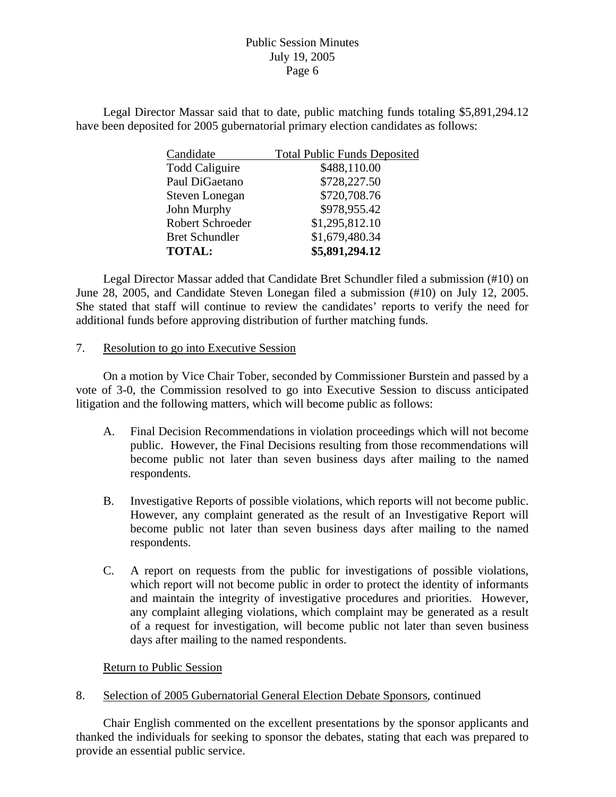Legal Director Massar said that to date, public matching funds totaling \$5,891,294.12 have been deposited for 2005 gubernatorial primary election candidates as follows:

| <b>Total Public Funds Deposited</b> |  |  |
|-------------------------------------|--|--|
| \$488,110.00                        |  |  |
| \$728,227.50                        |  |  |
| \$720,708.76                        |  |  |
| \$978,955.42                        |  |  |
| \$1,295,812.10                      |  |  |
| \$1,679,480.34                      |  |  |
| \$5,891,294.12                      |  |  |
|                                     |  |  |

 Legal Director Massar added that Candidate Bret Schundler filed a submission (#10) on June 28, 2005, and Candidate Steven Lonegan filed a submission (#10) on July 12, 2005. She stated that staff will continue to review the candidates' reports to verify the need for additional funds before approving distribution of further matching funds.

7. Resolution to go into Executive Session

 On a motion by Vice Chair Tober, seconded by Commissioner Burstein and passed by a vote of 3-0, the Commission resolved to go into Executive Session to discuss anticipated litigation and the following matters, which will become public as follows:

- A. Final Decision Recommendations in violation proceedings which will not become public. However, the Final Decisions resulting from those recommendations will become public not later than seven business days after mailing to the named respondents.
- B. Investigative Reports of possible violations, which reports will not become public. However, any complaint generated as the result of an Investigative Report will become public not later than seven business days after mailing to the named respondents.
- C. A report on requests from the public for investigations of possible violations, which report will not become public in order to protect the identity of informants and maintain the integrity of investigative procedures and priorities. However, any complaint alleging violations, which complaint may be generated as a result of a request for investigation, will become public not later than seven business days after mailing to the named respondents.

Return to Public Session

8. Selection of 2005 Gubernatorial General Election Debate Sponsors, continued

 Chair English commented on the excellent presentations by the sponsor applicants and thanked the individuals for seeking to sponsor the debates, stating that each was prepared to provide an essential public service.